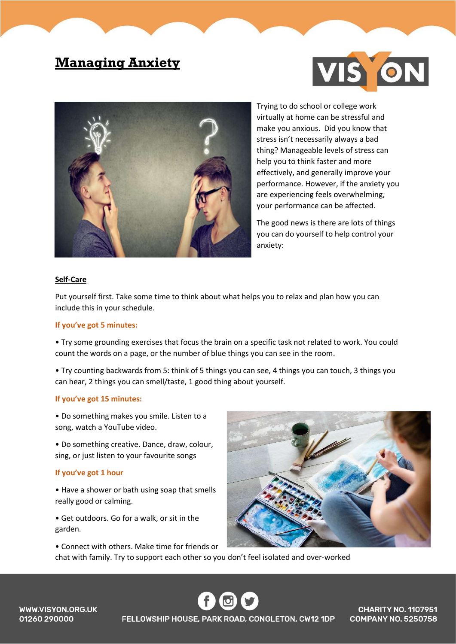# Managing Anxiety





Trying to do school or college work virtually at home can be stressful and make you anxious. Did you know that stress isn't necessarily always a bad thing? Manageable levels of stress can help you to think faster and more effectively, and generally improve your performance. However, if the anxiety you are experiencing feels overwhelming, your performance can be affected.

The good news is there are lots of things you can do yourself to help control your anxiety:

#### Self-Care

Put yourself first. Take some time to think about what helps you to relax and plan how you can include this in your schedule.

#### If you've got 5 minutes:

• Try some grounding exercises that focus the brain on a specific task not related to work. You could count the words on a page, or the number of blue things you can see in the room.

• Try counting backwards from 5: think of 5 things you can see, 4 things you can touch, 3 things you can hear, 2 things you can smell/taste, 1 good thing about yourself.

#### If you've got 15 minutes:

• Do something makes you smile. Listen to a song, watch a YouTube video.

• Do something creative. Dance, draw, colour, sing, or just listen to your favourite songs

### If you've got 1 hour

• Have a shower or bath using soap that smells really good or calming.

• Connect with others. Make time for friends or

• Get outdoors. Go for a walk, or sit in the garden.



chat with family. Try to support each other so you don't feel isolated and over-worked

FELLOWSHIP HOUSE, PARK ROAD, CONGLETON, CW12 1DP

**CHARITY NO. 1107951 COMPANY NO. 5250758** 

**WWW.VISYON.ORG.UK** 01260 290000